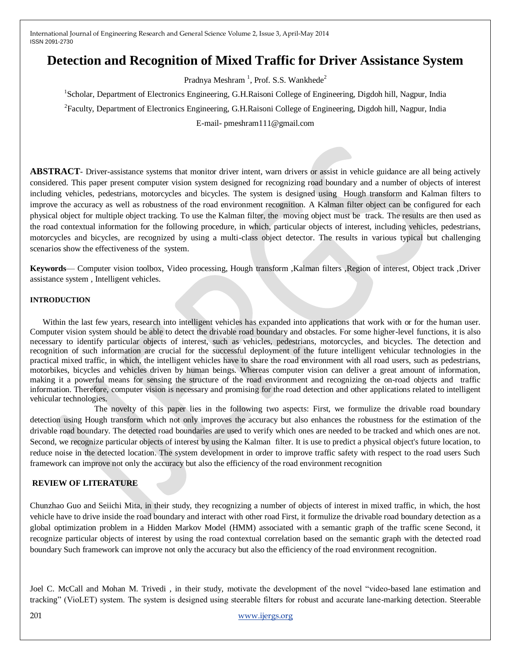# **Detection and Recognition of Mixed Traffic for Driver Assistance System**

Pradnya Meshram<sup>1</sup>, Prof. S.S. Wankhede<sup>2</sup>

<sup>1</sup>Scholar, Department of Electronics Engineering, G.H.Raisoni College of Engineering, Digdoh hill, Nagpur, India <sup>2</sup> Faculty, Department of Electronics Engineering, G.H.Raisoni College of Engineering, Digdoh hill, Nagpur, India

E-mail- pmeshram111@gmail.com

**ABSTRACT***-* Driver-assistance systems that monitor driver intent, warn drivers or assist in vehicle guidance are all being actively considered. This paper present computer vision system designed for recognizing road boundary and a number of objects of interest including vehicles, pedestrians, motorcycles and bicycles. The system is designed using Hough transform and Kalman filters to improve the accuracy as well as robustness of the road environment recognition. A Kalman filter object can be configured for each physical object for multiple object tracking. To use the Kalman filter, the moving object must be track. The results are then used as the road contextual information for the following procedure, in which, particular objects of interest, including vehicles, pedestrians, motorcycles and bicycles, are recognized by using a multi-class object detector. The results in various typical but challenging scenarios show the effectiveness of the system.

**Keywords**— Computer vision toolbox, Video processing, Hough transform ,Kalman filters ,Region of interest, Object track ,Driver assistance system , Intelligent vehicles.

# **INTRODUCTION**

 Within the last few years, research into intelligent vehicles has expanded into applications that work with or for the human user. Computer vision system should be able to detect the drivable road boundary and obstacles. For some higher-level functions, it is also necessary to identify particular objects of interest, such as vehicles, pedestrians, motorcycles, and bicycles. The detection and recognition of such information are crucial for the successful deployment of the future intelligent vehicular technologies in the practical mixed traffic, in which, the intelligent vehicles have to share the road environment with all road users, such as pedestrians, motorbikes, bicycles and vehicles driven by human beings. Whereas computer vision can deliver a great amount of information, making it a powerful means for sensing the structure of the road environment and recognizing the on-road objects and traffic information. Therefore, computer vision is necessary and promising for the road detection and other applications related to intelligent vehicular technologies.

 The novelty of this paper lies in the following two aspects: First, we formulize the drivable road boundary detection using Hough transform which not only improves the accuracy but also enhances the robustness for the estimation of the drivable road boundary. The detected road boundaries are used to verify which ones are needed to be tracked and which ones are not. Second, we recognize particular objects of interest by using the Kalman filter. It is use to predict a physical object's future location, to reduce noise in the detected location. The system development in order to improve traffic safety with respect to the road users Such framework can improve not only the accuracy but also the efficiency of the road environment recognition

# **REVIEW OF LITERATURE**

Chunzhao Guo and Seiichi Mita, in their study, they recognizing a number of objects of interest in mixed traffic, in which, the host vehicle have to drive inside the road boundary and interact with other road First, it formulize the drivable road boundary detection as a global optimization problem in a Hidden Markov Model (HMM) associated with a semantic graph of the traffic scene Second, it recognize particular objects of interest by using the road contextual correlation based on the semantic graph with the detected road boundary Such framework can improve not only the accuracy but also the efficiency of the road environment recognition.

Joel C. McCall and Mohan M. Trivedi, in their study, motivate the development of the novel "video-based lane estimation and tracking" (VioLET) system. The system is designed using steerable filters for robust and accurate lane-marking detection. Steerable

201 [www.ijergs.org](http://www.ijergs.org/)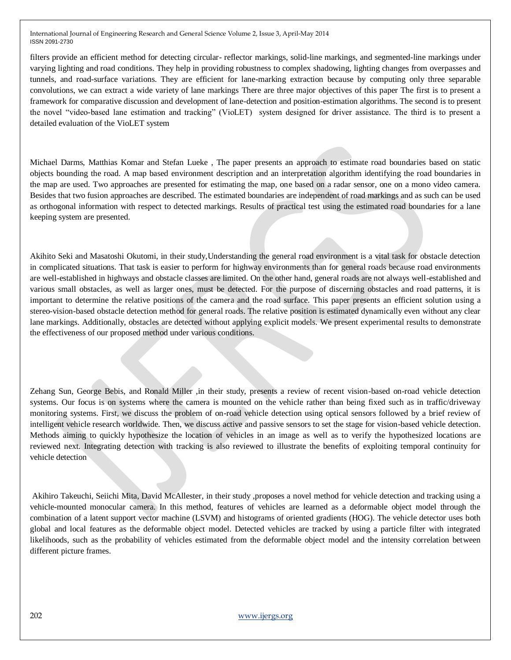filters provide an efficient method for detecting circular- reflector markings, solid-line markings, and segmented-line markings under varying lighting and road conditions. They help in providing robustness to complex shadowing, lighting changes from overpasses and tunnels, and road-surface variations. They are efficient for lane-marking extraction because by computing only three separable convolutions, we can extract a wide variety of lane markings There are three major objectives of this paper The first is to present a framework for comparative discussion and development of lane-detection and position-estimation algorithms. The second is to present the novel "video-based lane estimation and tracking" (VioLET) system designed for driver assistance. The third is to present a detailed evaluation of the VioLET system

Michael Darms, Matthias Komar and Stefan Lueke , The paper presents an approach to estimate road boundaries based on static objects bounding the road. A map based environment description and an interpretation algorithm identifying the road boundaries in the map are used. Two approaches are presented for estimating the map, one based on a radar sensor, one on a mono video camera. Besides that two fusion approaches are described. The estimated boundaries are independent of road markings and as such can be used as orthogonal information with respect to detected markings. Results of practical test using the estimated road boundaries for a lane keeping system are presented.

Akihito Seki and Masatoshi Okutomi, in their study,Understanding the general road environment is a vital task for obstacle detection in complicated situations. That task is easier to perform for highway environments than for general roads because road environments are well-established in highways and obstacle classes are limited. On the other hand, general roads are not always well-established and various small obstacles, as well as larger ones, must be detected. For the purpose of discerning obstacles and road patterns, it is important to determine the relative positions of the camera and the road surface. This paper presents an efficient solution using a stereo-vision-based obstacle detection method for general roads. The relative position is estimated dynamically even without any clear lane markings. Additionally, obstacles are detected without applying explicit models. We present experimental results to demonstrate the effectiveness of our proposed method under various conditions.

Zehang Sun, George Bebis, and Ronald Miller ,in their study, presents a review of recent vision-based on-road vehicle detection systems. Our focus is on systems where the camera is mounted on the vehicle rather than being fixed such as in traffic/driveway monitoring systems. First, we discuss the problem of on-road vehicle detection using optical sensors followed by a brief review of intelligent vehicle research worldwide. Then, we discuss active and passive sensors to set the stage for vision-based vehicle detection. Methods aiming to quickly hypothesize the location of vehicles in an image as well as to verify the hypothesized locations are reviewed next. Integrating detection with tracking is also reviewed to illustrate the benefits of exploiting temporal continuity for vehicle detection

Akihiro Takeuchi, Seiichi Mita, David McAllester, in their study ,proposes a novel method for vehicle detection and tracking using a vehicle-mounted monocular camera. In this method, features of vehicles are learned as a deformable object model through the combination of a latent support vector machine (LSVM) and histograms of oriented gradients (HOG). The vehicle detector uses both global and local features as the deformable object model. Detected vehicles are tracked by using a particle filter with integrated likelihoods, such as the probability of vehicles estimated from the deformable object model and the intensity correlation between different picture frames.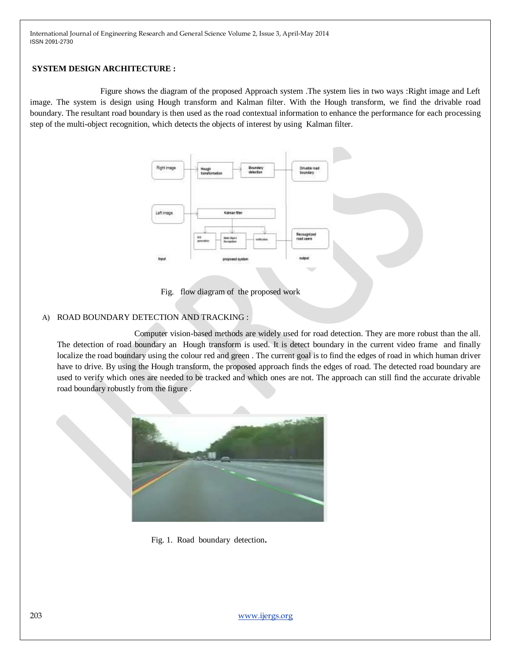# **SYSTEM DESIGN ARCHITECTURE :**

Figure shows the diagram of the proposed Approach system .The system lies in two ways :Right image and Left image. The system is design using Hough transform and Kalman filter. With the Hough transform, we find the drivable road boundary. The resultant road boundary is then used as the road contextual information to enhance the performance for each processing step of the multi-object recognition, which detects the objects of interest by using Kalman filter.





#### A) ROAD BOUNDARY DETECTION AND TRACKING :

 Computer vision-based methods are widely used for road detection. They are more robust than the all. The detection of road boundary an Hough transform is used. It is detect boundary in the current video frame and finally localize the road boundary using the colour red and green . The current goal is to find the edges of road in which human driver have to drive. By using the Hough transform, the proposed approach finds the edges of road. The detected road boundary are used to verify which ones are needed to be tracked and which ones are not. The approach can still find the accurate drivable road boundary robustly from the figure .



Fig. 1. Road boundary detection**.**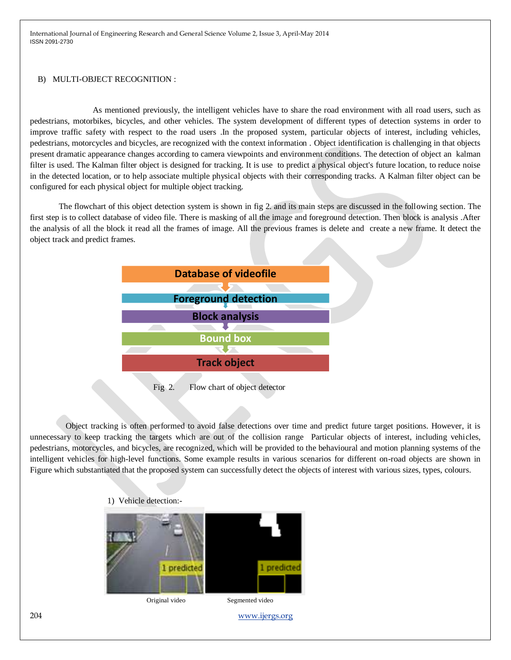#### B) MULTI-OBJECT RECOGNITION :

 As mentioned previously, the intelligent vehicles have to share the road environment with all road users, such as pedestrians, motorbikes, bicycles, and other vehicles. The system development of different types of detection systems in order to improve traffic safety with respect to the road users .In the proposed system, particular objects of interest, including vehicles, pedestrians, motorcycles and bicycles, are recognized with the context information . Object identification is challenging in that objects present dramatic appearance changes according to camera viewpoints and environment conditions. The detection of object an kalman filter is used. The Kalman filter object is designed for tracking. It is use to predict a physical object's future location, to reduce noise in the detected location, or to help associate multiple physical objects with their corresponding tracks. A Kalman filter object can be configured for each physical object for multiple object tracking.

 The flowchart of this object detection system is shown in fig 2. and its main steps are discussed in the following section. The first step is to collect database of video file. There is masking of all the image and foreground detection. Then block is analysis .After the analysis of all the block it read all the frames of image. All the previous frames is delete and create a new frame. It detect the object track and predict frames.



 Object tracking is often performed to avoid false detections over time and predict future target positions. However, it is unnecessary to keep tracking the targets which are out of the collision range Particular objects of interest, including vehicles, pedestrians, motorcycles, and bicycles, are recognized, which will be provided to the behavioural and motion planning systems of the intelligent vehicles for high-level functions. Some example results in various scenarios for different on-road objects are shown in Figure which substantiated that the proposed system can successfully detect the objects of interest with various sizes, types, colours.





204 [www.ijergs.org](http://www.ijergs.org/)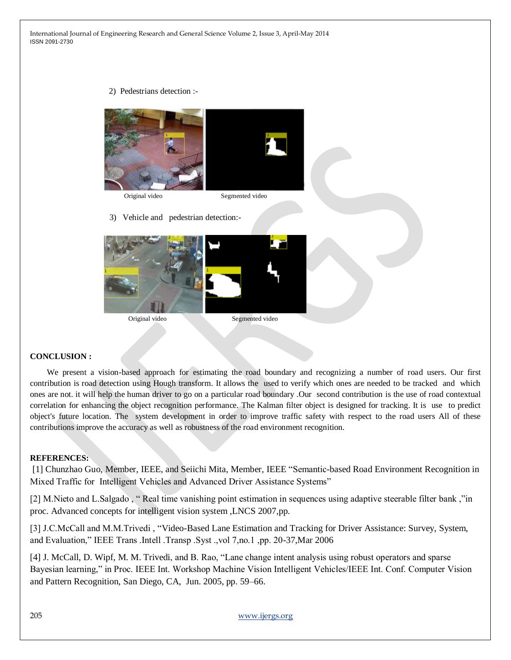2) Pedestrians detection :-



3) Vehicle and pedestrian detection:-



# **CONCLUSION :**

 We present a vision-based approach for estimating the road boundary and recognizing a number of road users. Our first contribution is road detection using Hough transform. It allows the used to verify which ones are needed to be tracked and which ones are not. it will help the human driver to go on a particular road boundary .Our second contribution is the use of road contextual correlation for enhancing the object recognition performance. The Kalman filter object is designed for tracking. It is use to predict object's future location. The system development in order to improve traffic safety with respect to the road users All of these contributions improve the accuracy as well as robustness of the road environment recognition.

# **REFERENCES:**

[1] Chunzhao Guo, Member, IEEE, and Seiichi Mita, Member, IEEE "Semantic-based Road Environment Recognition in Mixed Traffic for Intelligent Vehicles and Advanced Driver Assistance Systems"

[2] M.Nieto and L.Salgado, "Real time vanishing point estimation in sequences using adaptive steerable filter bank,"in proc. Advanced concepts for intelligent vision system ,LNCS 2007,pp.

[3] J.C.McCall and M.M.Trivedi, "Video-Based Lane Estimation and Tracking for Driver Assistance: Survey, System, and Evaluation,‖ IEEE Trans .Intell .Transp .Syst .,vol 7,no.1 ,pp. 20-37,Mar 2006

[4] J. McCall, D. Wipf, M. M. Trivedi, and B. Rao, "Lane change intent analysis using robust operators and sparse Bayesian learning," in Proc. IEEE Int. Workshop Machine Vision Intelligent Vehicles/IEEE Int. Conf. Computer Vision and Pattern Recognition, San Diego, CA, Jun. 2005, pp. 59–66.